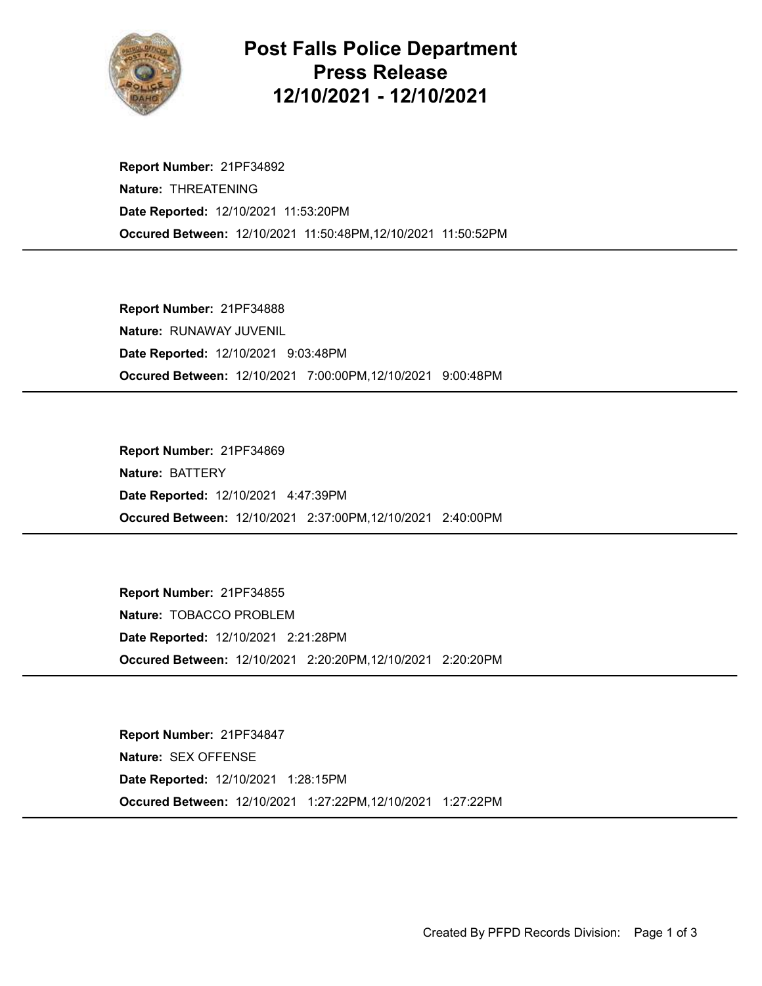

## Post Falls Police Department Press Release 12/10/2021 - 12/10/2021

Occured Between: 12/10/2021 11:50:48PM,12/10/2021 11:50:52PM Report Number: 21PF34892 Nature: THREATENING Date Reported: 12/10/2021 11:53:20PM

Occured Between: 12/10/2021 7:00:00PM,12/10/2021 9:00:48PM Report Number: 21PF34888 Nature: RUNAWAY JUVENIL Date Reported: 12/10/2021 9:03:48PM

Occured Between: 12/10/2021 2:37:00PM,12/10/2021 2:40:00PM Report Number: 21PF34869 Nature: BATTERY Date Reported: 12/10/2021 4:47:39PM

Occured Between: 12/10/2021 2:20:20PM,12/10/2021 2:20:20PM Report Number: 21PF34855 Nature: TOBACCO PROBLEM Date Reported: 12/10/2021 2:21:28PM

Occured Between: 12/10/2021 1:27:22PM,12/10/2021 1:27:22PM Report Number: 21PF34847 Nature: SEX OFFENSE Date Reported: 12/10/2021 1:28:15PM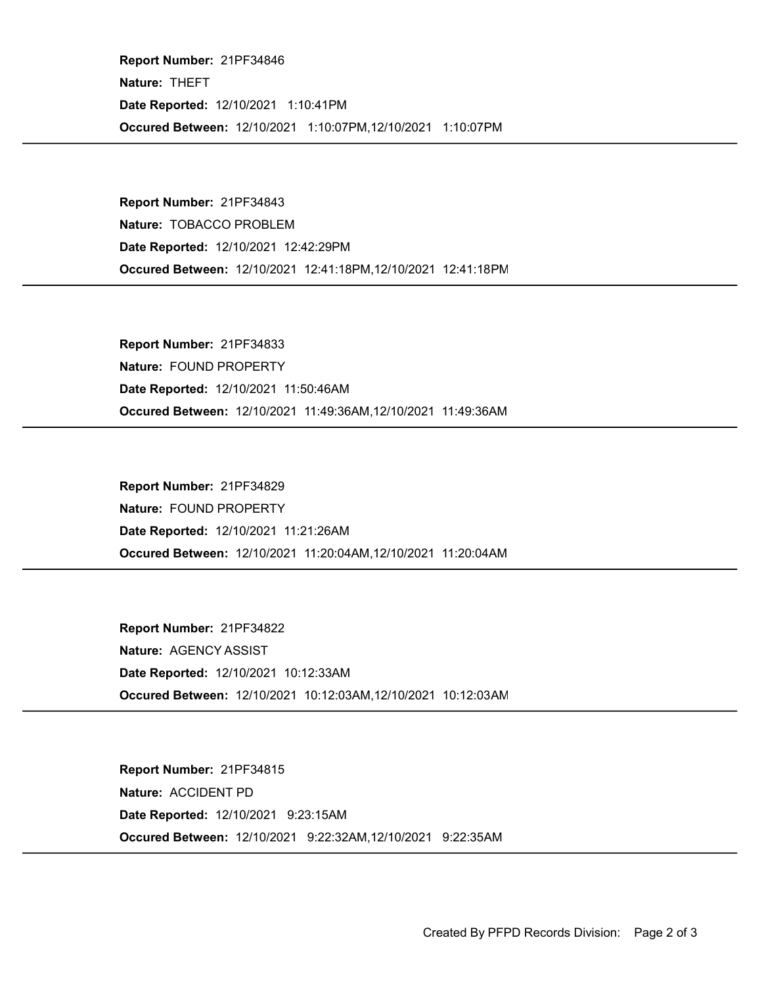Occured Between: 12/10/2021 1:10:07PM,12/10/2021 1:10:07PM Report Number: 21PF34846 Nature: THEFT Date Reported: 12/10/2021 1:10:41PM

Occured Between: 12/10/2021 12:41:18PM,12/10/2021 12:41:18PM Report Number: 21PF34843 Nature: TOBACCO PROBLEM Date Reported: 12/10/2021 12:42:29PM

Occured Between: 12/10/2021 11:49:36AM,12/10/2021 11:49:36AM Report Number: 21PF34833 Nature: FOUND PROPERTY Date Reported: 12/10/2021 11:50:46AM

Occured Between: 12/10/2021 11:20:04AM,12/10/2021 11:20:04AM Report Number: 21PF34829 Nature: FOUND PROPERTY Date Reported: 12/10/2021 11:21:26AM

Occured Between: 12/10/2021 10:12:03AM,12/10/2021 10:12:03AM Report Number: 21PF34822 Nature: AGENCY ASSIST Date Reported: 12/10/2021 10:12:33AM

Occured Between: 12/10/2021 9:22:32AM,12/10/2021 9:22:35AM Report Number: 21PF34815 Nature: ACCIDENT PD Date Reported: 12/10/2021 9:23:15AM